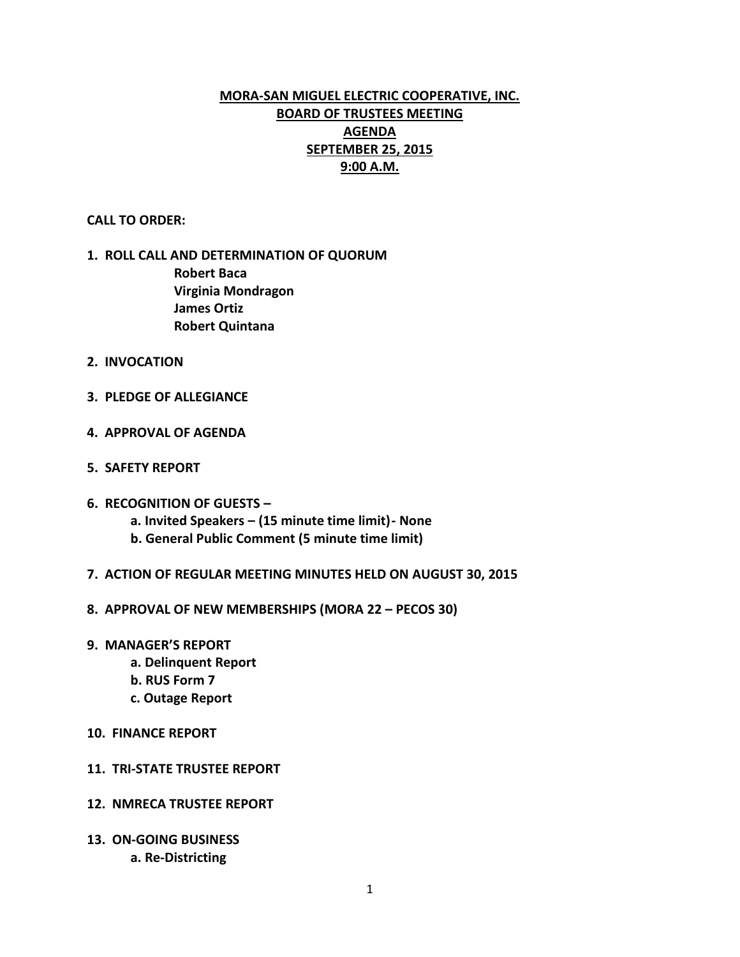# **MORA-SAN MIGUEL ELECTRIC COOPERATIVE, INC. BOARD OF TRUSTEES MEETING AGENDA SEPTEMBER 25, 2015 9:00 A.M.**

**CALL TO ORDER:**

# **1. ROLL CALL AND DETERMINATION OF QUORUM Robert Baca Virginia Mondragon James Ortiz Robert Quintana**

- **2. INVOCATION**
- **3. PLEDGE OF ALLEGIANCE**
- **4. APPROVAL OF AGENDA**
- **5. SAFETY REPORT**
- **6. RECOGNITION OF GUESTS –**
	- **a. Invited Speakers – (15 minute time limit)- None**
	- **b. General Public Comment (5 minute time limit)**
- **7. ACTION OF REGULAR MEETING MINUTES HELD ON AUGUST 30, 2015**
- **8. APPROVAL OF NEW MEMBERSHIPS (MORA 22 – PECOS 30)**
- **9. MANAGER'S REPORT**
	- **a. Delinquent Report**
	- **b. RUS Form 7**
	- **c. Outage Report**
- **10. FINANCE REPORT**
- **11. TRI-STATE TRUSTEE REPORT**
- **12. NMRECA TRUSTEE REPORT**
- **13. ON-GOING BUSINESS a. Re-Districting**